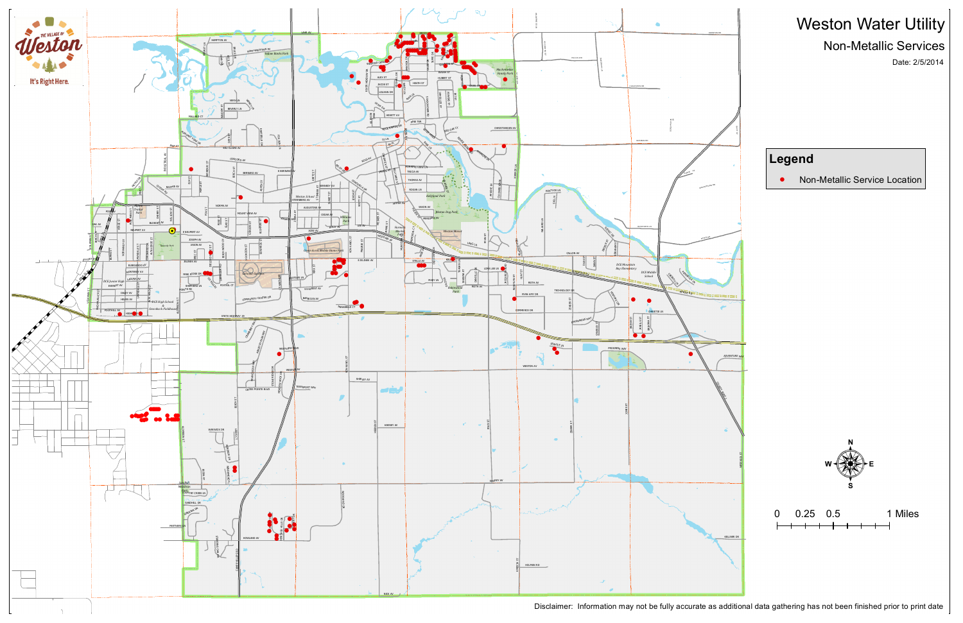

 $\lambda$ 

Disclaimer: Information may not be fully accurate as additional data gathering has not been finished prior to print date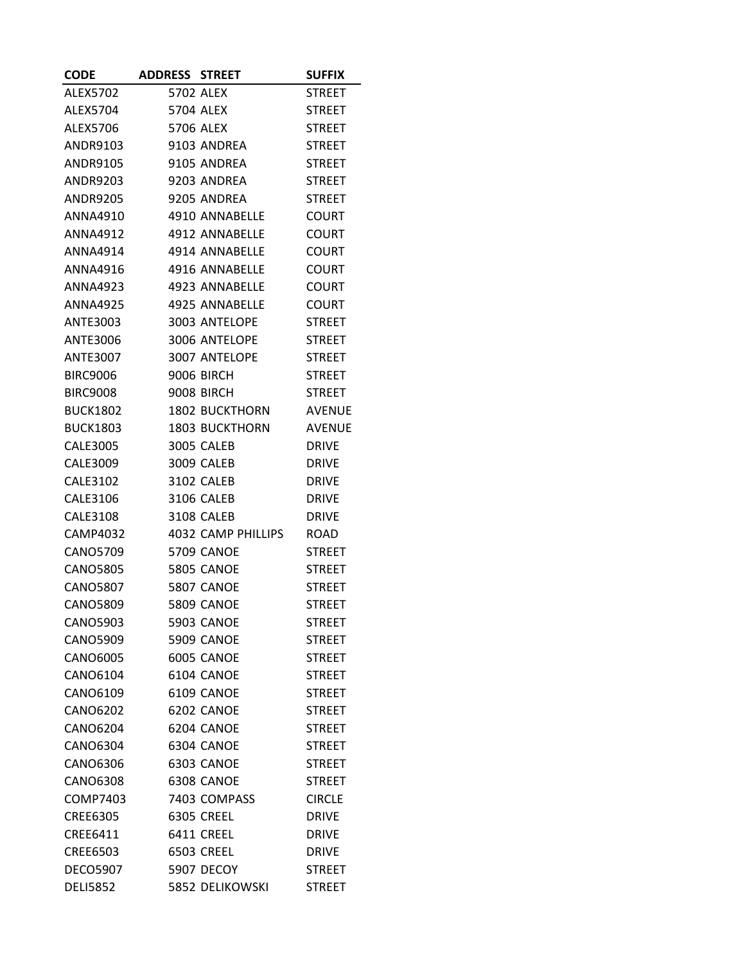| <b>CODE</b>                 | <b>ADDRESS STREET</b> |                                   | <b>SUFFIX</b>                 |
|-----------------------------|-----------------------|-----------------------------------|-------------------------------|
| ALEX5702                    |                       | 5702 ALEX                         | <b>STREET</b>                 |
| ALEX5704                    |                       | 5704 ALEX                         | <b>STREET</b>                 |
| ALEX5706                    |                       | 5706 ALEX                         | <b>STREET</b>                 |
| ANDR9103                    |                       | 9103 ANDREA                       | <b>STREET</b>                 |
| ANDR9105                    |                       | 9105 ANDREA                       | <b>STREET</b>                 |
| ANDR9203                    |                       | 9203 ANDREA                       | <b>STREET</b>                 |
| <b>ANDR9205</b>             |                       | 9205 ANDREA                       | <b>STREET</b>                 |
| ANNA4910                    |                       | 4910 ANNABELLE                    | <b>COURT</b>                  |
| ANNA4912                    |                       | 4912 ANNABELLE                    | <b>COURT</b>                  |
| ANNA4914                    |                       | 4914 ANNABELLE                    | <b>COURT</b>                  |
| <b>ANNA4916</b>             |                       | 4916 ANNABELLE                    | <b>COURT</b>                  |
| ANNA4923                    |                       | 4923 ANNABELLE                    | <b>COURT</b>                  |
| ANNA4925                    |                       | 4925 ANNABELLE                    | <b>COURT</b>                  |
| ANTE3003                    |                       | 3003 ANTELOPE                     | <b>STREET</b>                 |
| ANTE3006                    |                       | 3006 ANTELOPE                     | <b>STREET</b>                 |
| ANTE3007                    |                       | 3007 ANTELOPE                     | <b>STREET</b>                 |
| <b>BIRC9006</b>             |                       | 9006 BIRCH                        | <b>STREET</b>                 |
| <b>BIRC9008</b>             |                       | 9008 BIRCH                        | <b>STREET</b>                 |
| <b>BUCK1802</b>             |                       | <b>1802 BUCKTHORN</b>             | <b>AVENUE</b>                 |
| <b>BUCK1803</b>             |                       | 1803 BUCKTHORN                    | <b>AVENUE</b>                 |
| CALE3005                    |                       | 3005 CALEB                        | <b>DRIVE</b>                  |
| CALE3009                    |                       | 3009 CALEB                        | <b>DRIVE</b>                  |
| <b>CALE3102</b>             |                       | 3102 CALEB                        | <b>DRIVE</b>                  |
| CALE3106                    |                       | 3106 CALEB                        | <b>DRIVE</b>                  |
| CALE3108                    |                       | 3108 CALEB                        | <b>DRIVE</b>                  |
| CAMP4032                    |                       | 4032 CAMP PHILLIPS                | <b>ROAD</b>                   |
| CANO5709                    |                       | <b>5709 CANOE</b>                 | <b>STREET</b>                 |
| CANO5805                    |                       | <b>5805 CANOE</b>                 | <b>STREET</b>                 |
| <b>CANO5807</b>             |                       | <b>5807 CANOE</b>                 | <b>STREET</b>                 |
| <b>CANO5809</b>             |                       | <b>5809 CANOE</b>                 | <b>STREET</b>                 |
| CANO5903                    |                       | <b>5903 CANOE</b>                 | <b>STREET</b>                 |
| <b>CANO5909</b>             |                       | 5909 CANOE                        | <b>STREET</b>                 |
| <b>CANO6005</b>             |                       | 6005 CANOE                        | <b>STREET</b>                 |
| CANO6104                    |                       | 6104 CANOE                        | <b>STREET</b>                 |
| CANO6109                    |                       | 6109 CANOE                        | <b>STREET</b>                 |
| CANO6202                    |                       | 6202 CANOE                        | <b>STREET</b>                 |
| CANO6204                    |                       | 6204 CANOE                        | <b>STREET</b>                 |
| CANO6304                    |                       | 6304 CANOE                        | <b>STREET</b>                 |
| CANO6306                    |                       | 6303 CANOE                        | <b>STREET</b>                 |
| CANO6308                    |                       | 6308 CANOE                        | <b>STREET</b>                 |
| COMP7403<br><b>CREE6305</b> |                       | 7403 COMPASS<br><b>6305 CREEL</b> | <b>CIRCLE</b><br><b>DRIVE</b> |
| CREE6411                    |                       | 6411 CREEL                        | <b>DRIVE</b>                  |
| <b>CREE6503</b>             |                       | 6503 CREEL                        | <b>DRIVE</b>                  |
| <b>DECO5907</b>             |                       | 5907 DECOY                        | <b>STREET</b>                 |
| <b>DELI5852</b>             |                       |                                   | <b>STREET</b>                 |
|                             |                       | 5852 DELIKOWSKI                   |                               |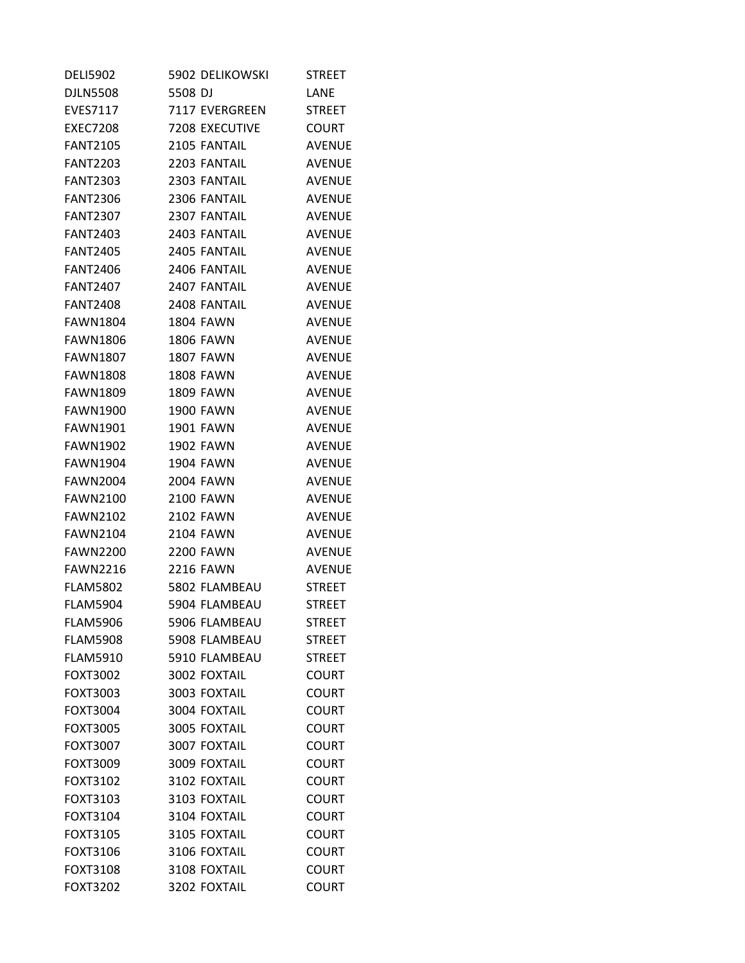| <b>DELI5902</b> | 5902 DELIKOWSKI  | <b>STREET</b> |
|-----------------|------------------|---------------|
| <b>DJLN5508</b> | 5508 DJ          | LANE          |
| <b>EVES7117</b> | 7117 EVERGREEN   | <b>STREET</b> |
| <b>EXEC7208</b> | 7208 EXECUTIVE   | <b>COURT</b>  |
| <b>FANT2105</b> | 2105 FANTAIL     | <b>AVENUE</b> |
| <b>FANT2203</b> | 2203 FANTAIL     | <b>AVENUE</b> |
| <b>FANT2303</b> | 2303 FANTAIL     | <b>AVENUE</b> |
| <b>FANT2306</b> | 2306 FANTAIL     | <b>AVENUE</b> |
| <b>FANT2307</b> | 2307 FANTAIL     | <b>AVENUE</b> |
| <b>FANT2403</b> | 2403 FANTAIL     | <b>AVENUE</b> |
| <b>FANT2405</b> | 2405 FANTAIL     | <b>AVENUE</b> |
| <b>FANT2406</b> | 2406 FANTAIL     | <b>AVENUE</b> |
| <b>FANT2407</b> | 2407 FANTAIL     | <b>AVENUE</b> |
| <b>FANT2408</b> | 2408 FANTAIL     | <b>AVENUE</b> |
| <b>FAWN1804</b> | <b>1804 FAWN</b> | <b>AVENUE</b> |
| <b>FAWN1806</b> | <b>1806 FAWN</b> | <b>AVENUE</b> |
| <b>FAWN1807</b> | <b>1807 FAWN</b> | <b>AVENUE</b> |
| <b>FAWN1808</b> | <b>1808 FAWN</b> | <b>AVENUE</b> |
| <b>FAWN1809</b> | <b>1809 FAWN</b> | <b>AVENUE</b> |
| <b>FAWN1900</b> | <b>1900 FAWN</b> | <b>AVENUE</b> |
| <b>FAWN1901</b> | <b>1901 FAWN</b> | <b>AVENUE</b> |
| <b>FAWN1902</b> | <b>1902 FAWN</b> | <b>AVENUE</b> |
| <b>FAWN1904</b> | <b>1904 FAWN</b> | <b>AVENUE</b> |
| <b>FAWN2004</b> | 2004 FAWN        | <b>AVENUE</b> |
| <b>FAWN2100</b> | <b>2100 FAWN</b> | <b>AVENUE</b> |
| <b>FAWN2102</b> | <b>2102 FAWN</b> | <b>AVENUE</b> |
| <b>FAWN2104</b> | <b>2104 FAWN</b> | <b>AVENUE</b> |
| <b>FAWN2200</b> | <b>2200 FAWN</b> | <b>AVENUE</b> |
| <b>FAWN2216</b> | <b>2216 FAWN</b> | <b>AVENUE</b> |
| <b>FLAM5802</b> | 5802 FLAMBEAU    | <b>STREET</b> |
| <b>FLAM5904</b> | 5904 FLAMBEAU    | <b>STREET</b> |
| <b>FLAM5906</b> | 5906 FLAMBEAU    | <b>STREET</b> |
| <b>FLAM5908</b> | 5908 FLAMBEAU    | <b>STREET</b> |
| <b>FLAM5910</b> | 5910 FLAMBEAU    | <b>STREET</b> |
| FOXT3002        | 3002 FOXTAIL     | <b>COURT</b>  |
| FOXT3003        | 3003 FOXTAIL     | <b>COURT</b>  |
| FOXT3004        | 3004 FOXTAIL     | <b>COURT</b>  |
| FOXT3005        | 3005 FOXTAIL     | <b>COURT</b>  |
| FOXT3007        | 3007 FOXTAIL     | <b>COURT</b>  |
| FOXT3009        | 3009 FOXTAIL     | <b>COURT</b>  |
| FOXT3102        | 3102 FOXTAIL     | <b>COURT</b>  |
| FOXT3103        | 3103 FOXTAIL     | <b>COURT</b>  |
| FOXT3104        | 3104 FOXTAIL     | <b>COURT</b>  |
| FOXT3105        | 3105 FOXTAIL     | <b>COURT</b>  |
| FOXT3106        | 3106 FOXTAIL     | <b>COURT</b>  |
| FOXT3108        | 3108 FOXTAIL     | <b>COURT</b>  |
| FOXT3202        | 3202 FOXTAIL     | <b>COURT</b>  |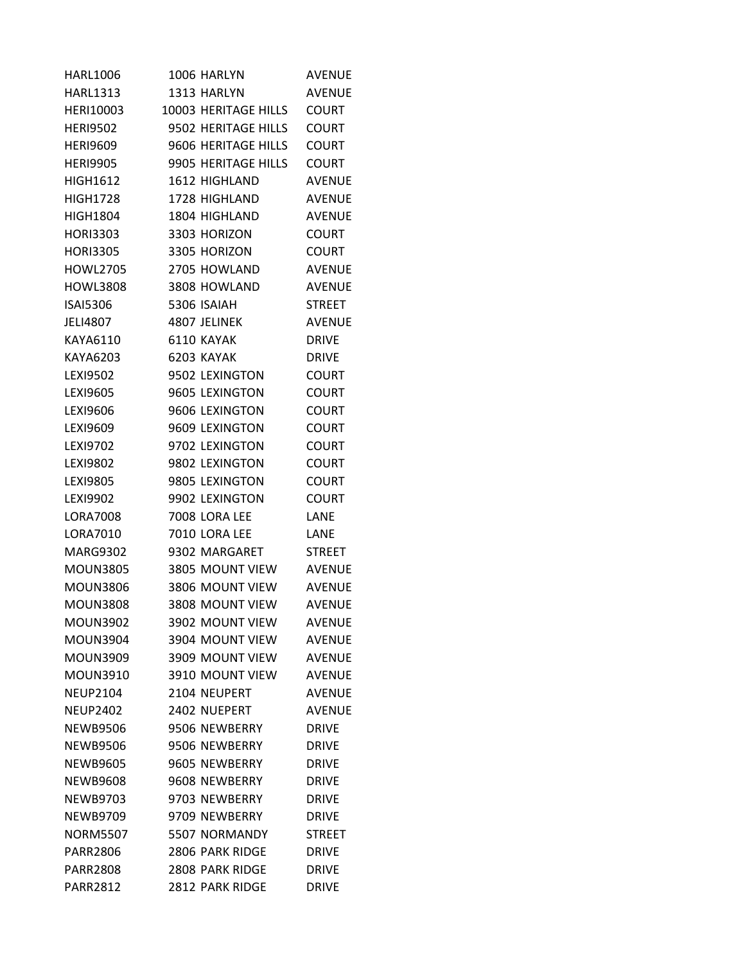| <b>HARL1006</b> | 1006 HARLYN          | <b>AVENUE</b> |
|-----------------|----------------------|---------------|
| <b>HARL1313</b> | 1313 HARLYN          | <b>AVENUE</b> |
| HERI10003       | 10003 HERITAGE HILLS | <b>COURT</b>  |
| <b>HERI9502</b> | 9502 HERITAGE HILLS  | <b>COURT</b>  |
| <b>HERI9609</b> | 9606 HERITAGE HILLS  | <b>COURT</b>  |
| <b>HERI9905</b> | 9905 HERITAGE HILLS  | <b>COURT</b>  |
| <b>HIGH1612</b> | 1612 HIGHLAND        | <b>AVENUE</b> |
| <b>HIGH1728</b> | 1728 HIGHLAND        | <b>AVENUE</b> |
| <b>HIGH1804</b> | 1804 HIGHLAND        | <b>AVENUE</b> |
| <b>HORI3303</b> | 3303 HORIZON         | <b>COURT</b>  |
| <b>HORI3305</b> | 3305 HORIZON         | <b>COURT</b>  |
| <b>HOWL2705</b> | 2705 HOWLAND         | <b>AVENUE</b> |
| <b>HOWL3808</b> | 3808 HOWLAND         | <b>AVENUE</b> |
| <b>ISAI5306</b> | 5306 ISAIAH          | <b>STREET</b> |
| JELI4807        | 4807 JELINEK         | <b>AVENUE</b> |
| KAYA6110        | 6110 KAYAK           | <b>DRIVE</b>  |
| KAYA6203        | 6203 KAYAK           | <b>DRIVE</b>  |
| LEX19502        | 9502 LEXINGTON       | <b>COURT</b>  |
| LEXI9605        | 9605 LEXINGTON       | <b>COURT</b>  |
| LEX19606        | 9606 LEXINGTON       | <b>COURT</b>  |
| LEX19609        | 9609 LEXINGTON       | COURT         |
| LEX19702        | 9702 LEXINGTON       | <b>COURT</b>  |
| <b>LEXI9802</b> | 9802 LEXINGTON       | <b>COURT</b>  |
| LEX19805        | 9805 LEXINGTON       | <b>COURT</b>  |
| <b>LEXI9902</b> | 9902 LEXINGTON       | <b>COURT</b>  |
| <b>LORA7008</b> | 7008 LORA LEE        | LANE          |
| LORA7010        | 7010 LORA LEE        | LANE          |
| <b>MARG9302</b> | 9302 MARGARET        | <b>STREET</b> |
| <b>MOUN3805</b> | 3805 MOUNT VIEW      | <b>AVENUE</b> |
| <b>MOUN3806</b> | 3806 MOUNT VIEW      | <b>AVENUE</b> |
| <b>MOUN3808</b> | 3808 MOUNT VIEW      | <b>AVENUE</b> |
| <b>MOUN3902</b> | 3902 MOUNT VIEW      | <b>AVENUE</b> |
| <b>MOUN3904</b> | 3904 MOUNT VIEW      | <b>AVENUE</b> |
| <b>MOUN3909</b> | 3909 MOUNT VIEW      | <b>AVENUE</b> |
| <b>MOUN3910</b> | 3910 MOUNT VIEW      | <b>AVENUE</b> |
| <b>NEUP2104</b> | 2104 NEUPERT         | <b>AVENUE</b> |
| <b>NEUP2402</b> | 2402 NUEPERT         | <b>AVENUE</b> |
| <b>NEWB9506</b> | 9506 NEWBERRY        | <b>DRIVE</b>  |
| <b>NEWB9506</b> | 9506 NEWBERRY        | <b>DRIVE</b>  |
| <b>NEWB9605</b> | 9605 NEWBERRY        | <b>DRIVE</b>  |
| <b>NEWB9608</b> | 9608 NEWBERRY        | <b>DRIVE</b>  |
| <b>NEWB9703</b> | 9703 NEWBERRY        | <b>DRIVE</b>  |
| <b>NEWB9709</b> | 9709 NEWBERRY        | <b>DRIVE</b>  |
| <b>NORM5507</b> | 5507 NORMANDY        | <b>STREET</b> |
| <b>PARR2806</b> | 2806 PARK RIDGE      | <b>DRIVE</b>  |
| <b>PARR2808</b> | 2808 PARK RIDGE      | <b>DRIVE</b>  |
| <b>PARR2812</b> | 2812 PARK RIDGE      | <b>DRIVE</b>  |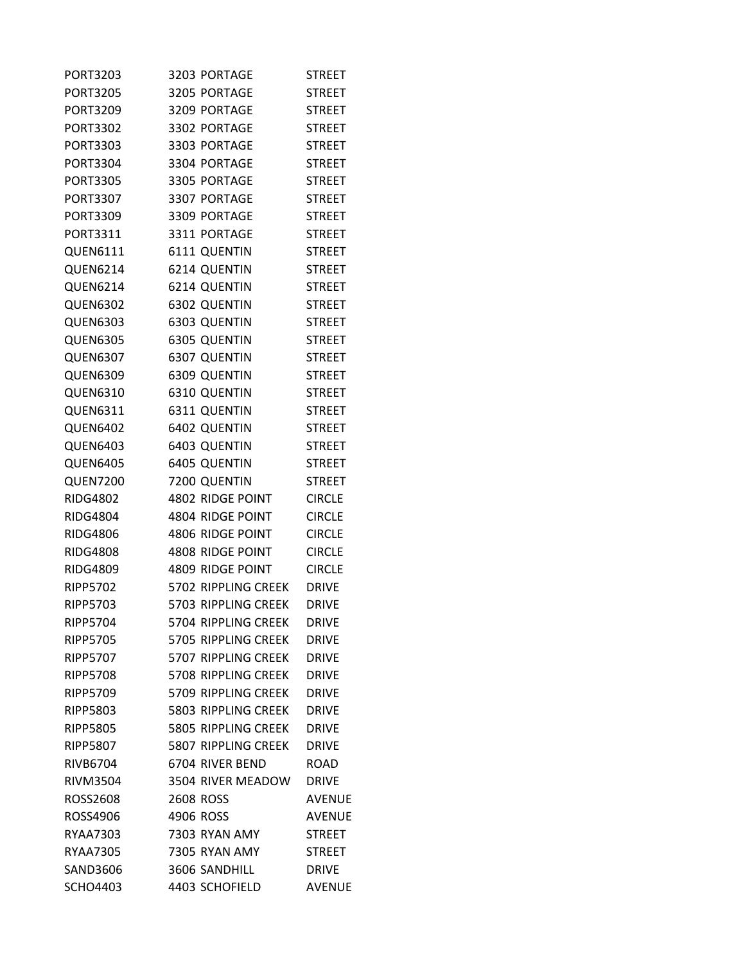| <b>PORT3203</b> | 3203 PORTAGE        | <b>STREET</b> |
|-----------------|---------------------|---------------|
| <b>PORT3205</b> | 3205 PORTAGE        | <b>STREET</b> |
| <b>PORT3209</b> | 3209 PORTAGE        | <b>STREET</b> |
| <b>PORT3302</b> | 3302 PORTAGE        | <b>STREET</b> |
| PORT3303        | 3303 PORTAGE        | <b>STREET</b> |
| <b>PORT3304</b> | 3304 PORTAGE        | <b>STREET</b> |
| <b>PORT3305</b> | 3305 PORTAGE        | <b>STREET</b> |
| PORT3307        | 3307 PORTAGE        | <b>STREET</b> |
| PORT3309        | 3309 PORTAGE        | <b>STREET</b> |
| PORT3311        | 3311 PORTAGE        | <b>STREET</b> |
| QUEN6111        | 6111 QUENTIN        | <b>STREET</b> |
| <b>QUEN6214</b> | 6214 QUENTIN        | <b>STREET</b> |
| <b>QUEN6214</b> | 6214 QUENTIN        | <b>STREET</b> |
| <b>QUEN6302</b> | 6302 QUENTIN        | <b>STREET</b> |
| <b>QUEN6303</b> | 6303 QUENTIN        | <b>STREET</b> |
| <b>QUEN6305</b> | <b>6305 QUENTIN</b> | <b>STREET</b> |
| <b>QUEN6307</b> | 6307 QUENTIN        | <b>STREET</b> |
| <b>QUEN6309</b> | 6309 QUENTIN        | <b>STREET</b> |
| <b>QUEN6310</b> | 6310 QUENTIN        | <b>STREET</b> |
| <b>QUEN6311</b> | 6311 QUENTIN        | <b>STREET</b> |
| <b>QUEN6402</b> | 6402 QUENTIN        | <b>STREET</b> |
| <b>QUEN6403</b> | 6403 QUENTIN        | <b>STREET</b> |
| <b>QUEN6405</b> | 6405 QUENTIN        | <b>STREET</b> |
| <b>QUEN7200</b> | 7200 QUENTIN        | <b>STREET</b> |
| <b>RIDG4802</b> | 4802 RIDGE POINT    | <b>CIRCLE</b> |
| <b>RIDG4804</b> | 4804 RIDGE POINT    | <b>CIRCLE</b> |
| <b>RIDG4806</b> | 4806 RIDGE POINT    | <b>CIRCLE</b> |
| <b>RIDG4808</b> | 4808 RIDGE POINT    | <b>CIRCLE</b> |
| <b>RIDG4809</b> | 4809 RIDGE POINT    | <b>CIRCLE</b> |
| <b>RIPP5702</b> | 5702 RIPPLING CREEK | <b>DRIVE</b>  |
| <b>RIPP5703</b> | 5703 RIPPLING CREEK | <b>DRIVE</b>  |
| <b>RIPP5704</b> | 5704 RIPPLING CREEK | <b>DRIVE</b>  |
| <b>RIPP5705</b> | 5705 RIPPLING CREEK | <b>DRIVE</b>  |
| <b>RIPP5707</b> | 5707 RIPPLING CREEK | <b>DRIVE</b>  |
| <b>RIPP5708</b> | 5708 RIPPLING CREEK | <b>DRIVE</b>  |
| <b>RIPP5709</b> | 5709 RIPPLING CREEK | <b>DRIVE</b>  |
| <b>RIPP5803</b> | 5803 RIPPLING CREEK | <b>DRIVE</b>  |
| <b>RIPP5805</b> | 5805 RIPPLING CREEK | <b>DRIVE</b>  |
| <b>RIPP5807</b> | 5807 RIPPLING CREEK | <b>DRIVE</b>  |
| <b>RIVB6704</b> | 6704 RIVER BEND     | ROAD          |
| <b>RIVM3504</b> | 3504 RIVER MEADOW   | <b>DRIVE</b>  |
| <b>ROSS2608</b> | 2608 ROSS           | <b>AVENUE</b> |
| ROSS4906        | 4906 ROSS           | <b>AVENUE</b> |
| RYAA7303        | 7303 RYAN AMY       | <b>STREET</b> |
| <b>RYAA7305</b> | 7305 RYAN AMY       | <b>STREET</b> |
| <b>SAND3606</b> | 3606 SANDHILL       | <b>DRIVE</b>  |
| <b>SCHO4403</b> | 4403 SCHOFIELD      | <b>AVENUE</b> |